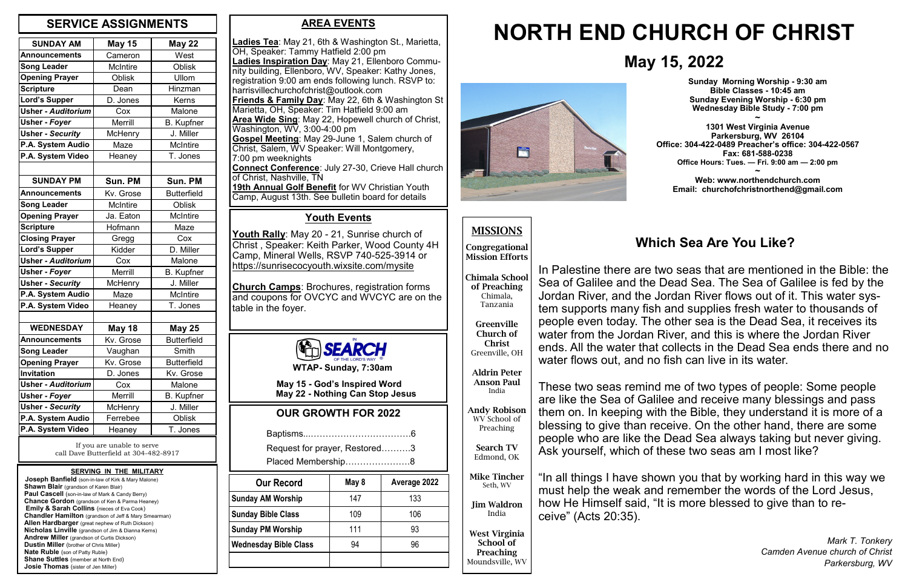### **AREA EVENTS**

**Ladies Tea**: May 21, 6th & Washington St., Marietta, OH, Speaker: Tammy Hatfield 2:00 pm **Ladies Inspiration Day**: May 21, Ellenboro Community building, Ellenboro, WV, Speaker: Kathy Jones, registration 9:00 am ends following lunch. RSVP to: harrisvillechurchofchrist@outlook.com **Friends & Family Day**: May 22, 6th & Washington St Marietta, OH, Speaker: Tim Hatfield 9:00 am **Area Wide Sing**: May 22, Hopewell church of Christ, Washington, WV, 3:00-4:00 pm **Gospel Meeting**: May 29-June 1, Salem church of Christ, Salem, WV Speaker: Will Montgomery, 7:00 pm weeknights **Connect Conference**: July 27-30, Crieve Hall church of Christ, Nashville, TN

**19th Annual Golf Benefit** for WV Christian Youth Camp, August 13th. See bulletin board for details

| <b>SUNDAY AM</b>          | <b>May 15</b>           | <b>May 22</b>      |
|---------------------------|-------------------------|--------------------|
| <b>Announcements</b>      | Cameron                 | West               |
| <b>Song Leader</b>        | <b>McIntire</b>         | <b>Oblisk</b>      |
| <b>Opening Prayer</b>     | <b>Oblisk</b>           | Ullom              |
| <b>Scripture</b>          | Dean                    | Hinzman            |
| <b>Lord's Supper</b>      | D. Jones                | Kerns              |
| <b>Usher - Auditorium</b> | Cox                     | Malone             |
| Usher - Foyer             | <b>Merrill</b>          | <b>B.</b> Kupfner  |
| <b>Usher - Security</b>   | McHenry                 | J. Miller          |
| P.A. System Audio         | <b>McIntire</b><br>Maze |                    |
| P.A. System Video         | Heaney                  | T. Jones           |
|                           |                         |                    |
| <b>SUNDAY PM</b>          | Sun. PM                 | Sun. PM            |
| <b>Announcements</b>      | Kv. Grose               | <b>Butterfield</b> |
| <b>Song Leader</b>        | <b>McIntire</b>         | <b>Oblisk</b>      |
| <b>Opening Prayer</b>     | Ja. Eaton               | <b>McIntire</b>    |
| <b>Scripture</b>          | Hofmann                 | Maze               |
| <b>Closing Prayer</b>     | Gregg                   | Cox                |
| <b>Lord's Supper</b>      | Kidder                  | D. Miller          |
| <b>Usher - Auditorium</b> | Cox                     | Malone             |
| Usher - Foyer             | <b>Merrill</b>          | <b>B.</b> Kupfner  |
| <b>Usher - Security</b>   | McHenry                 | J. Miller          |
| P.A. System Audio         | Maze                    | <b>McIntire</b>    |
| P.A. System Video         | Heaney                  | T. Jones           |
|                           |                         |                    |
| <b>WEDNESDAY</b>          | <b>May 18</b>           | <b>May 25</b>      |
| <b>Announcements</b>      | Kv. Grose               | <b>Butterfield</b> |
| <b>Song Leader</b>        | Vaughan                 | Smith              |
| <b>Opening Prayer</b>     | Kv. Grose               | <b>Butterfield</b> |
| Invitation                | D. Jones                | Kv. Grose          |
| <b>Usher - Auditorium</b> | Cox                     | Malone             |
| Usher - Foyer             | Merrill                 | <b>B.</b> Kupfner  |
| <b>Usher - Security</b>   | McHenry                 | J. Miller          |
| P.A. System Audio         | Ferrebee                | Oblisk             |
| P.A. System Video         | Heaney                  | T. Jones           |

# **May 15, 2022**

# **NORTH END CHURCH OF CHRIST**



#### **SERVING IN THE MILITARY**

 **Joseph Banfield** (son-in-law of Kirk & Mary Malone) **Shawn Blair** (grandson of Karen Blair) **Paul Cascell** (son-in-law of Mark & Candy Berry)  **Chance Gordon** (grandson of Ken & Parma Heaney) **Emily & Sarah Collins** (nieces of Eva Cook)  **Chandler Hamilton** (grandson of Jeff & Mary Smearman)  **Allen Hardbarger** (great nephew of Ruth Dickson)  **Nicholas Linville** (grandson of Jim & Dianna Kerns)  **Andrew Miller** (grandson of Curtis Dickson)  **Dustin Miller** (brother of Chris Miller)  **Nate Ruble** (son of Patty Ruble) **Shane Suttles** (member at North End) **Josie Thomas** (sister of Jen Miller)

# **MISSIONS**

**Congregational Mission Efforts**

**Chimala School of Preaching** Chimala, Tanzania

**Greenville Church of Christ** Greenville, OH

**Aldrin Peter Anson Paul** India

**Andy Robison** WV School of Preaching

**Search TV** Edmond, OK

**Mike Tincher** Seth, WV

**Jim Waldron** India

**West Virginia School of Preaching** Moundsville, WV

## **OUR GROWTH FOR 2022**

|--|--|

|  |  | Request for prayer, Restored3 |  |
|--|--|-------------------------------|--|
|  |  |                               |  |

**WTAP- Sunday, 7:30am**

 **May 15 - God's Inspired Word May 22 - Nothing Can Stop Jesus** **Sunday Morning Worship - 9:30 am Bible Classes - 10:45 am Sunday Evening Worship - 6:30 pm Wednesday Bible Study - 7:00 pm**

**~ 1301 West Virginia Avenue Parkersburg, WV 26104 Office: 304-422-0489 Preacher's office: 304-422-0567 Fax: 681-588-0238 Office Hours: Tues. — Fri. 9:00 am — 2:00 pm ~**

**Web: www.northendchurch.com Email: churchofchristnorthend@gmail.com**

If you are unable to serve call Dave Butterfield at 304-482-8917

## **SERVICE ASSIGNMENTS**

### **Youth Events**

**Youth Rally**: May 20 - 21, Sunrise church of Christ , Speaker: Keith Parker, Wood County 4H Camp, Mineral Wells, RSVP 740-525-3914 or https://sunrisecocyouth.wixsite.com/mysite

**Church Camps**: Brochures, registration forms and coupons for OVCYC and WVCYC are on the table in the foyer.



| <b>Our Record</b>         | May 8 | Average 2022 |
|---------------------------|-------|--------------|
| <b>Sunday AM Worship</b>  | 147   | 133          |
| <b>Sunday Bible Class</b> | 109   | 106          |
| <b>Sunday PM Worship</b>  | 111   | 93           |
| Wednesday Bible Class     | 94    | 96           |
|                           |       |              |

# **Which Sea Are You Like?**

In Palestine there are two seas that are mentioned in the Bible: the Sea of Galilee and the Dead Sea. The Sea of Galilee is fed by the Jordan River, and the Jordan River flows out of it. This water system supports many fish and supplies fresh water to thousands of people even today. The other sea is the Dead Sea, it receives its water from the Jordan River, and this is where the Jordan River ends. All the water that collects in the Dead Sea ends there and no water flows out, and no fish can live in its water.

These two seas remind me of two types of people: Some people are like the Sea of Galilee and receive many blessings and pass them on. In keeping with the Bible, they understand it is more of a blessing to give than receive. On the other hand, there are some people who are like the Dead Sea always taking but never giving. Ask yourself, which of these two seas am I most like?

"In all things I have shown you that by working hard in this way we must help the weak and remember the words of the Lord Jesus, how He Himself said, "It is more blessed to give than to receive" (Acts 20:35).

> *Mark T. Tonkery Camden Avenue church of Christ Parkersburg, WV*